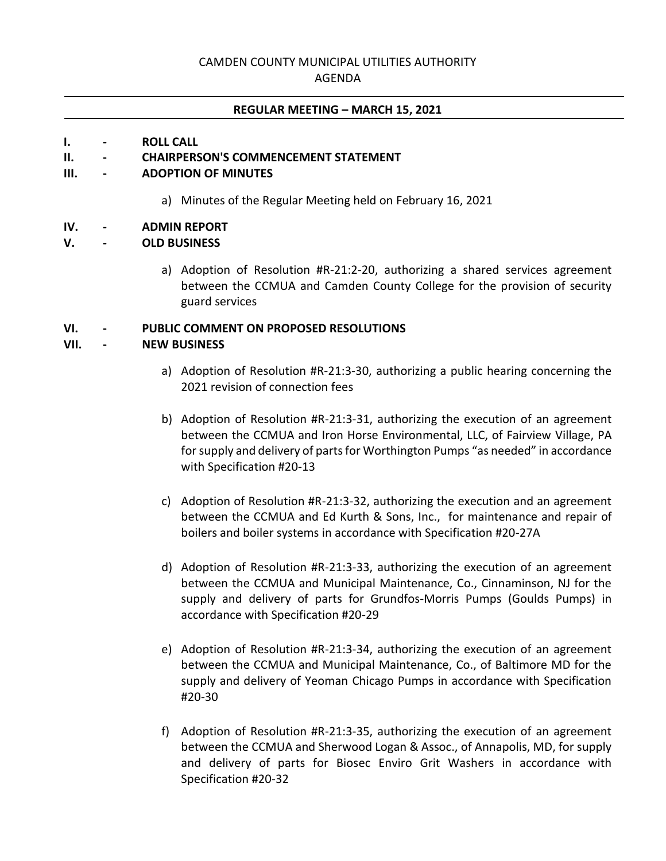# CAMDEN COUNTY MUNICIPAL UTILITIES AUTHORITY

AGENDA

#### **REGULAR MEETING – MARCH 15, 2021**

#### **I. - ROLL CALL**

## **II. - CHAIRPERSON'S COMMENCEMENT STATEMENT**

## **III. - ADOPTION OF MINUTES**

a) Minutes of the Regular Meeting held on February 16, 2021

#### **IV. - ADMIN REPORT**

#### **V. - OLD BUSINESS**

a) Adoption of Resolution #R-21:2-20, authorizing a shared services agreement between the CCMUA and Camden County College for the provision of security guard services

#### **VI. - PUBLIC COMMENT ON PROPOSED RESOLUTIONS**

#### **VII. - NEW BUSINESS**

- a) Adoption of Resolution #R-21:3-30, authorizing a public hearing concerning the 2021 revision of connection fees
- b) Adoption of Resolution #R-21:3-31, authorizing the execution of an agreement between the CCMUA and Iron Horse Environmental, LLC, of Fairview Village, PA for supply and delivery of parts for Worthington Pumps "as needed" in accordance with Specification #20-13
- c) Adoption of Resolution #R-21:3-32, authorizing the execution and an agreement between the CCMUA and Ed Kurth & Sons, Inc., for maintenance and repair of boilers and boiler systems in accordance with Specification #20-27A
- d) Adoption of Resolution #R-21:3-33, authorizing the execution of an agreement between the CCMUA and Municipal Maintenance, Co., Cinnaminson, NJ for the supply and delivery of parts for Grundfos-Morris Pumps (Goulds Pumps) in accordance with Specification #20-29
- e) Adoption of Resolution #R-21:3-34, authorizing the execution of an agreement between the CCMUA and Municipal Maintenance, Co., of Baltimore MD for the supply and delivery of Yeoman Chicago Pumps in accordance with Specification #20-30
- f) Adoption of Resolution #R-21:3-35, authorizing the execution of an agreement between the CCMUA and Sherwood Logan & Assoc., of Annapolis, MD, for supply and delivery of parts for Biosec Enviro Grit Washers in accordance with Specification #20-32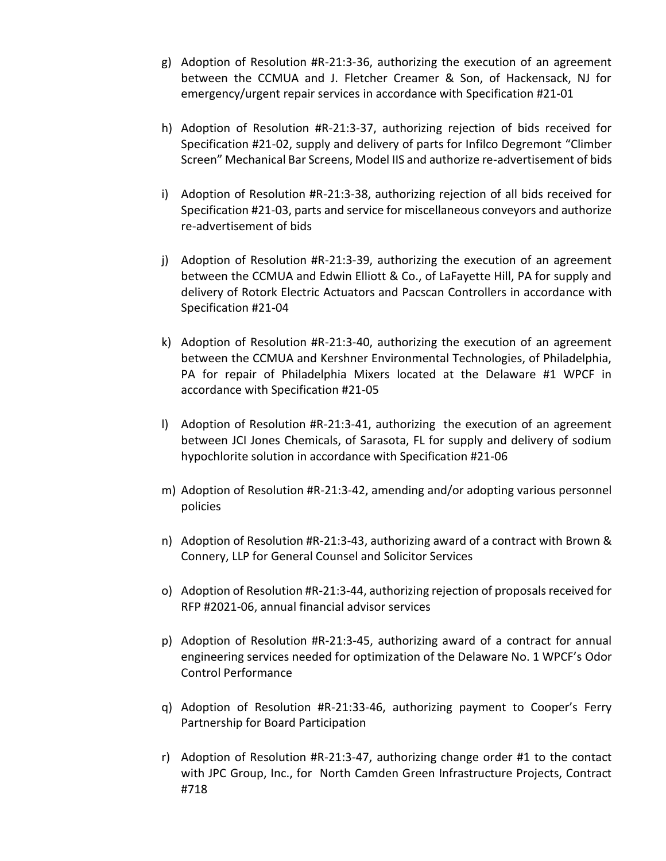- g) Adoption of Resolution #R-21:3-36, authorizing the execution of an agreement between the CCMUA and J. Fletcher Creamer & Son, of Hackensack, NJ for emergency/urgent repair services in accordance with Specification #21-01
- h) Adoption of Resolution #R-21:3-37, authorizing rejection of bids received for Specification #21-02, supply and delivery of parts for Infilco Degremont "Climber Screen" Mechanical Bar Screens, Model IIS and authorize re-advertisement of bids
- i) Adoption of Resolution #R-21:3-38, authorizing rejection of all bids received for Specification #21-03, parts and service for miscellaneous conveyors and authorize re-advertisement of bids
- j) Adoption of Resolution #R-21:3-39, authorizing the execution of an agreement between the CCMUA and Edwin Elliott & Co., of LaFayette Hill, PA for supply and delivery of Rotork Electric Actuators and Pacscan Controllers in accordance with Specification #21-04
- k) Adoption of Resolution #R-21:3-40, authorizing the execution of an agreement between the CCMUA and Kershner Environmental Technologies, of Philadelphia, PA for repair of Philadelphia Mixers located at the Delaware #1 WPCF in accordance with Specification #21-05
- l) Adoption of Resolution #R-21:3-41, authorizing the execution of an agreement between JCI Jones Chemicals, of Sarasota, FL for supply and delivery of sodium hypochlorite solution in accordance with Specification #21-06
- m) Adoption of Resolution #R-21:3-42, amending and/or adopting various personnel policies
- n) Adoption of Resolution #R-21:3-43, authorizing award of a contract with Brown & Connery, LLP for General Counsel and Solicitor Services
- o) Adoption of Resolution #R-21:3-44, authorizing rejection of proposals received for RFP #2021-06, annual financial advisor services
- p) Adoption of Resolution #R-21:3-45, authorizing award of a contract for annual engineering services needed for optimization of the Delaware No. 1 WPCF's Odor Control Performance
- q) Adoption of Resolution #R-21:33-46, authorizing payment to Cooper's Ferry Partnership for Board Participation
- r) Adoption of Resolution #R-21:3-47, authorizing change order #1 to the contact with JPC Group, Inc., for North Camden Green Infrastructure Projects, Contract #718